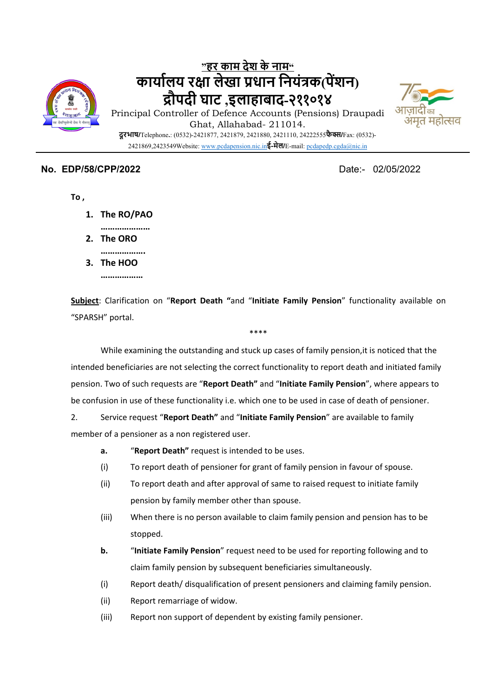

# **"हर काम देश के नाम" कायाŊलय रƗा लेखा Ůधान िनयंũक(पŐशन) ūौपदी घाट ,इलाहाबाद-२११०१४** Principal Controller of Defence Accounts (Pensions) Draupadi



Ghat, Allahabad- 211014. **दूरभाष/**Telephone**.**: (0532)-2421877, 2421879, 2421880, 2421110, 24222555**फैƛ/**Fax: (0532)- 2421869,2423549Website: www.pcdapension.nic.in**ई-मेल/**E-mail: pcdapedp.cgda@nic.in

#### **No. EDP/58/CPP/2022** Date:- 02/05/2022

**To ,**

- **1. The RO/PAO**
	- **…………………**

**……………….**

- **2. The ORO**
- **3. The HOO**
	- **………………**

**Subject**: Clarification on "**Report Death "**and "**Initiate Family Pension**" functionality available on "SPARSH" portal.

\*\*\*\*

While examining the outstanding and stuck up cases of family pension,it is noticed that the intended beneficiaries are not selecting the correct functionality to report death and initiated family pension. Two of such requests are "**Report Death"** and "**Initiate Family Pension**", where appears to be confusion in use of these functionality i.e. which one to be used in case of death of pensioner.

2. Service request "**Report Death"** and "**Initiate Family Pension**" are available to family member of a pensioner as a non registered user.

- **a.** "**Report Death"** request is intended to be uses.
- (i) To report death of pensioner for grant of family pension in favour of spouse.
- (ii) To report death and after approval of same to raised request to initiate family pension by family member other than spouse.
- (iii) When there is no person available to claim family pension and pension has to be stopped.
- **b.** "**Initiate Family Pension**" request need to be used for reporting following and to claim family pension by subsequent beneficiaries simultaneously.
- (i) Report death/ disqualification of present pensioners and claiming family pension.
- (ii) Report remarriage of widow.
- (iii) Report non support of dependent by existing family pensioner.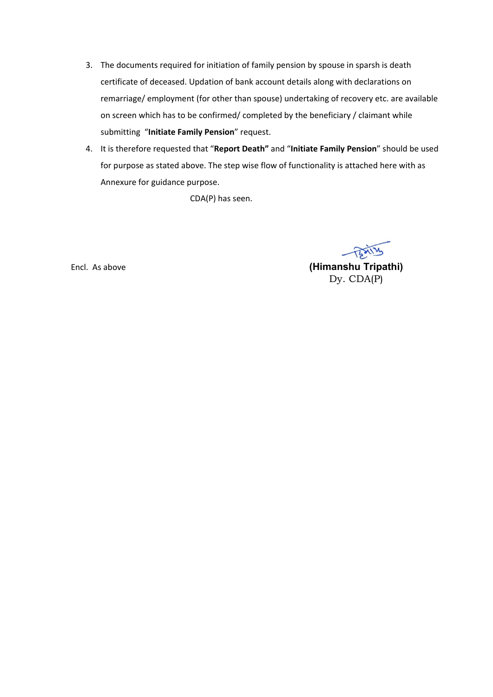- 3. The documents required for initiation of family pension by spouse in sparsh is death certificate of deceased. Updation of bank account details along with declarations on remarriage/ employment (for other than spouse) undertaking of recovery etc. are available on screen which has to be confirmed/ completed by the beneficiary / claimant while submitting "**Initiate Family Pension**" request.
- 4. It is therefore requested that "**Report Death"** and "**Initiate Family Pension**" should be used for purpose as stated above. The step wise flow of functionality is attached here with as Annexure for guidance purpose.

CDA(P) has seen.

BAILY Encl. As above **(Himanshu Tripathi)**  Dy. CDA(P)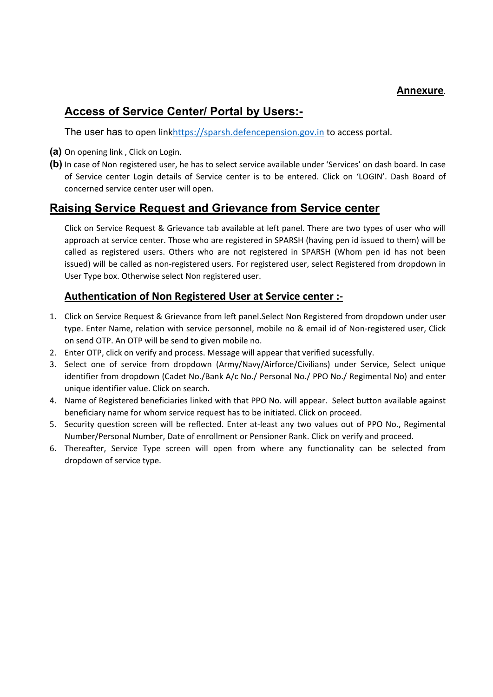#### **Annexure**.

# **Access of Service Center/ Portal by Users:-**

The user has to open linkhttps://sparsh.defencepension.gov.in to access portal.

- **(a)** On opening link , Click on Login.
- **(b)** In case of Non registered user, he has to select service available under 'Services' on dash board. In case of Service center Login details of Service center is to be entered. Click on 'LOGIN'. Dash Board of concerned service center user will open.

## **Raising Service Request and Grievance from Service center**

Click on Service Request & Grievance tab available at left panel. There are two types of user who will approach at service center. Those who are registered in SPARSH (having pen id issued to them) will be called as registered users. Others who are not registered in SPARSH (Whom pen id has not been issued) will be called as non‐registered users. For registered user, select Registered from dropdown in User Type box. Otherwise select Non registered user.

## **Authentication of Non Registered User at Service center :‐**

- 1. Click on Service Request & Grievance from left panel.Select Non Registered from dropdown under user type. Enter Name, relation with service personnel, mobile no & email id of Non-registered user, Click on send OTP. An OTP will be send to given mobile no.
- 2. Enter OTP, click on verify and process. Message will appear that verified sucessfully.
- 3. Select one of service from dropdown (Army/Navy/Airforce/Civilians) under Service, Select unique identifier from dropdown (Cadet No./Bank A/c No./ Personal No./ PPO No./ Regimental No) and enter unique identifier value. Click on search.
- 4. Name of Registered beneficiaries linked with that PPO No. will appear. Select button available against beneficiary name for whom service request has to be initiated. Click on proceed.
- 5. Security question screen will be reflected. Enter at-least any two values out of PPO No., Regimental Number/Personal Number, Date of enrollment or Pensioner Rank. Click on verify and proceed.
- 6. Thereafter, Service Type screen will open from where any functionality can be selected from dropdown of service type.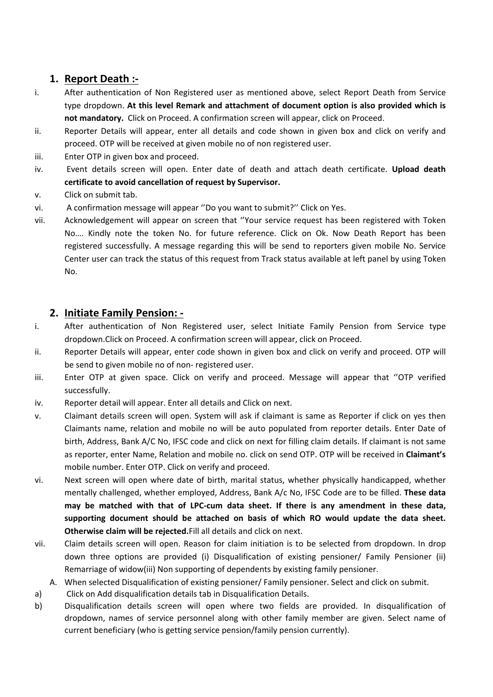## **1. Report Death :‐**

- i. After authentication of Non Registered user as mentioned above, select Report Death from Service type dropdown. **At this level Remark and attachment of document option is also provided which is not mandatory.** Click on Proceed. A confirmation screen will appear, click on Proceed.
- ii. Reporter Details will appear, enter all details and code shown in given box and click on verify and proceed. OTP will be received at given mobile no of non registered user.
- iii. Enter OTP in given box and proceed.
- iv. Event details screen will open. Enter date of death and attach death certificate. **Upload death certificate to avoid cancellation of request by Supervisor.**
- v. Click on submit tab.
- vi. A confirmation message will appear ''Do you want to submit?'' Click on Yes.
- vii. Acknowledgement will appear on screen that ''Your service request has been registered with Token No…. Kindly note the token No. for future reference. Click on Ok. Now Death Report has been registered successfully. A message regarding this will be send to reporters given mobile No. Service Center user can track the status of this request from Track status available at left panel by using Token No.

#### **2. Initiate Family Pension: ‐**

- i. After authentication of Non Registered user, select Initiate Family Pension from Service type dropdown.Click on Proceed. A confirmation screen will appear, click on Proceed.
- ii. Reporter Details will appear, enter code shown in given box and click on verify and proceed. OTP will be send to given mobile no of non‐ registered user.
- iii. Enter OTP at given space. Click on verify and proceed. Message will appear that "OTP verified successfully.
- iv. Reporter detail will appear. Enter all details and Click on next.
- v. Claimant details screen will open. System will ask if claimant is same as Reporter if click on yes then Claimants name, relation and mobile no will be auto populated from reporter details. Enter Date of birth, Address, Bank A/C No, IFSC code and click on next for filling claim details. If claimant is not same as reporter, enter Name, Relation and mobile no. click on send OTP. OTP will be received in **Claimant's** mobile number. Enter OTP. Click on verify and proceed.
- vi. Next screen will open where date of birth, marital status, whether physically handicapped, whether mentally challenged, whether employed, Address, Bank A/c No, IFSC Code are to be filled. **These data may be matched with that of LPC‐cum data sheet. If there is any amendment in these data, supporting document should be attached on basis of which RO would update the data sheet. Otherwise claim will be rejected.**Fill all details and click on next.
- vii. Claim details screen will open. Reason for claim initiation is to be selected from dropdown. In drop down three options are provided (i) Disqualification of existing pensioner/ Family Pensioner (ii) Remarriage of widow(iii) Non supporting of dependents by existing family pensioner.
- A. When selected Disqualification of existing pensioner/ Family pensioner. Select and click on submit.
- a) Click on Add disqualification details tab in Disqualification Details.
- b) Disqualification details screen will open where two fields are provided. In disqualification of dropdown, names of service personnel along with other family member are given. Select name of current beneficiary (who is getting service pension/family pension currently).